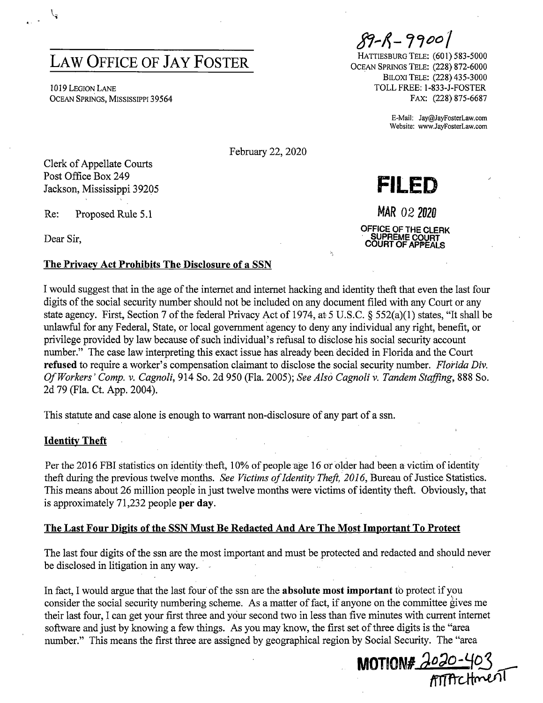# **LAW OFFICE OF JAY FOSTER**

IO 19 LEGION LANE OCEAN SPRINGS, MISSISSIPPI 39564

**tfl,.l.-** *,'7oo 7* 

**FILED** 

**MAR 02 <sup>2020</sup>**

**OFFICE OF THE CLERK** · **SUPREME COURT COURT OF APPEALS** 

HATTIESBURG TELE: (601) 583-5000 OCEAN SPRINGS TELE: (228) 872-6000 BILOXI TELE: (228) 435-3000 TOLL FREE: 1-833-J-FOSTER FAX: (228) 875-6687

> E-Mail: Jay@JayFosterLaw.com Website: www.JayFosterLaw.com

February 22, 2020

Clerk of Appellate Courts Post Office Box 249 Jackson, Mississippi 39205

Re: Proposed Rule 5.1

Dear Sir,

 $\mathfrak{l}_z$ 

#### **The Privacy Act Prohibits The Disclosure of a SSN**

I would suggest that in the age of the internet and internet hacking and identity theft that even the last four digits of the social security number should not be included on any document filed with any Court or any state agency. First, Section 7 of the federal Privacy Act of 1974, at 5 U.S.C. § 552(a)(l) states, "It shall be unlawful for any Federal, State, or local government agency to deny any individual any right, benefit, or privilege provided by law because of-such individual's refusal to disclose his social security account number." The case law interpreting this exact issue has already been decided in Florida and the Court **refused** to require a worker's compensation claimant to disclose the social security number. *Florida Div. Of Workers' Comp. v. Cagnoli,* 914 So. 2d 950 (Fla. 2005); *See Also Cagnoli* v. *Tandem Staffing,* 888 So. 2d 79 (Fla. Ct. App. 2004).

This statute and case alone is enough to warrant non-disclosure of any part of a ssn.

#### **Identity Theft**

Per the 2016 FBI statistics on identity theft, 10% of people age 16 *ot* older had been a victim of identity theft during the previous twelve months. *See Victims of Identity Theft, 2016*, Bureau of Justice Statistics. This means about 26 million people in just twelve months were victims of identity theft. Obviously, that is approximately 71,232 people **per day.** 

#### **The Last Four Digits of the SSN Must Be Redacted And Are The Most Important To Protect**

The last four digits of the ssn are the most important and must be protected and redacted and should never be disclosed in litigation in any way.

In fact, I would argue that the last four of the ssn are the **absolute most important** to protect if you consider the social security numbering scheme. As a matter of fact, if anyone on the committee gives me their last four, I can get your first three and your second two in less than five minutes with current internet software and just by knowing a few things. As you may know, the first set of three digits is the "area number." This means the first three are assigned by geographical region by Social Security. The "area

**MOTION# 2020-403**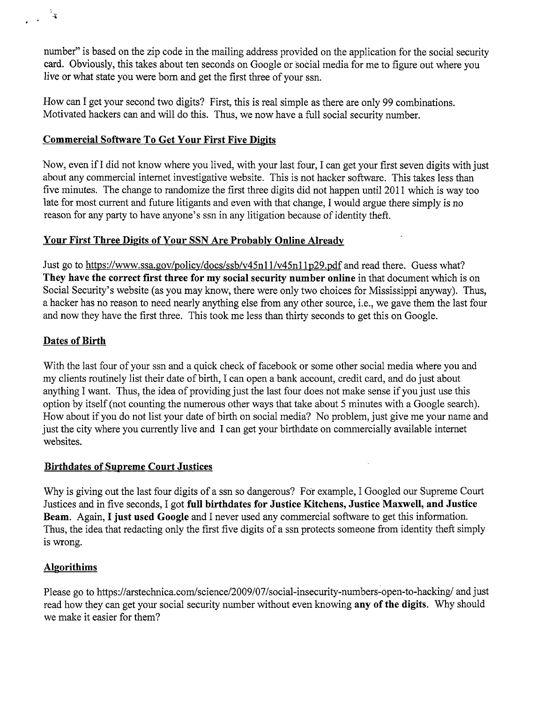number" is based on the zip code in the mailing address provided on the application for the social security card. Obviously, this takes about ten seconds on Google or social media for me to figure out where you live or what state you were born and get the first three of your ssn.

How can I get your second two digits? First, this is real simple as there are only 99 combinations. Motivated hackers can and will do this. Thus, we now have a full social security number.

### **Commercial Software To Get Your First Five Digits**

Now, even ifI did not know where you lived, with your last four, I can get your first seven digits with just about any commercial internet investigative website. This is not hacker software. This takes less than five minutes. The change to randomize the first three digits did not happen until 2011 which is way too late for most current and future litigants and even with that change, I would argue there simply is no reason for any party to have anyone's ssn in any litigation because of identity theft.

## **Your First Three Digits of Your SSN Are Probably Online Already**

Just go to https://www.ssa.gov/policy/docs/ssb/v45n11/v45n11p29.pdf and read there. Guess what? **They have the correct first three for my social security number online** in that document which is on Social Security's website (as you may know, there were only two choices for Mississippi anyway). Thus, a hacker has no reason to need nearly anything else from any other source, i.e., we gave them the last four and now they have the first three. This took me less than thirty seconds to get this on Google.

### **Dates of Birth**

 $\frac{1}{2}$  $\mathbf{A}$ 

> With the last four of your ssn and a quick check of facebook or some other social media where you and my clients routinely list their date of birth, I can open a bank account, credit card, and do just about anything I want. Thus, the idea of providing just the last four does not make sense if you just use this option by itself (not counting the numerous other ways that take about 5 minutes with a Google search). How about if you do not list your date of birth on social media? No problem, just give me your name and just the city where you currently live and I can get your birthdate on commercially available internet websites.

#### **Birthdates of Supreme Court Justices**

Why is giving out the last four digits of a ssn so dangerous? For example, I Googled our Supreme Court Justices and in five seconds, I got **full birthdates for Justice Kitchens, Justice Maxwell, and Justice Beam.** Again, I **just used Google** and I never used any commercial software to get this information. Thus, the idea that redacting only the first five digits of a ssn protects someone from identity theft simply is wrong.

## **Algorithims**

Please go to https://arstechnica.com/science/2009/07 /social-insecurity-numbers~open-to-hacking/ and just read how they can get your social security number without even knowing **any of the digits.** Why should we make it easier for them?